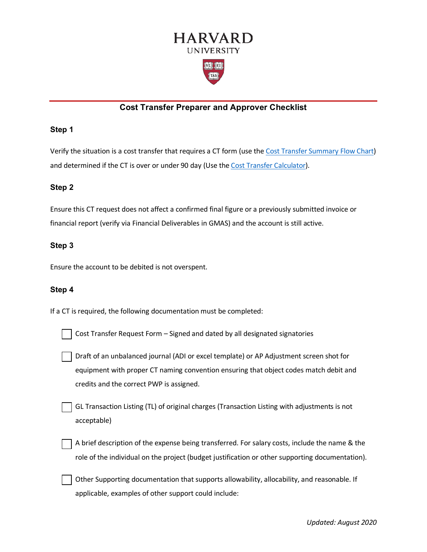

# **Cost Transfer Preparer and Approver Checklist**

#### **Step 1**

Verify the situation is a cost transfer that requires a CT form (use the [Cost Transfer Summary Flow Chart\)](https://osp.finance.harvard.edu/cost-transfer-policy#resources) and determined if the CT is over or under 90 day (Use the [Cost Transfer Calculator\)](https://osp.finance.harvard.edu/files/office-for-sponsored-programs/files/cost_transfer_calculator_september_2019.xlsx).

### **Step 2**

Ensure this CT request does not affect a confirmed final figure or a previously submitted invoice or financial report (verify via Financial Deliverables in GMAS) and the account is still active.

### **Step 3**

Ensure the account to be debited is not overspent.

### **Step 4**

If a CT is required, the following documentation must be completed:

Cost Transfer Request Form – Signed and dated by all designated signatories

Draft of an unbalanced journal (ADI or excel template) or AP Adjustment screen shot for equipment with proper CT naming convention ensuring that object codes match debit and credits and the correct PWP is assigned.

GL Transaction Listing (TL) of original charges (Transaction Listing with adjustments is not acceptable)

A brief description of the expense being transferred. For salary costs, include the name & the role of the individual on the project (budget justification or other supporting documentation).

Other Supporting documentation that supports allowability, allocability, and reasonable. If applicable, examples of other support could include: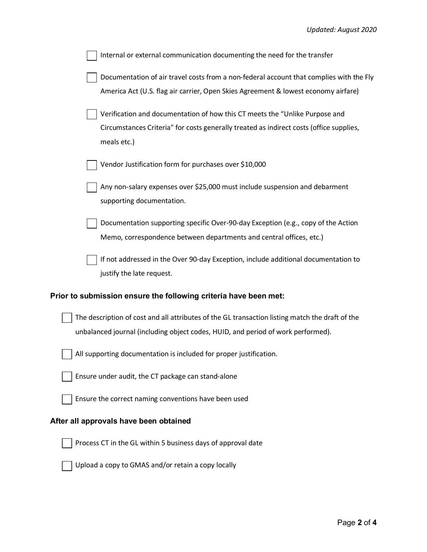| Internal or external communication documenting the need for the transfer                                                                                                              |
|---------------------------------------------------------------------------------------------------------------------------------------------------------------------------------------|
| Documentation of air travel costs from a non-federal account that complies with the Fly<br>America Act (U.S. flag air carrier, Open Skies Agreement & lowest economy airfare)         |
| Verification and documentation of how this CT meets the "Unlike Purpose and<br>Circumstances Criteria" for costs generally treated as indirect costs (office supplies,<br>meals etc.) |
| Vendor Justification form for purchases over \$10,000                                                                                                                                 |
| Any non-salary expenses over \$25,000 must include suspension and debarment<br>supporting documentation.                                                                              |
| Documentation supporting specific Over-90-day Exception (e.g., copy of the Action<br>Memo, correspondence between departments and central offices, etc.)                              |
| If not addressed in the Over 90-day Exception, include additional documentation to<br>justify the late request.                                                                       |
| Prior to submission ensure the following criteria have been met:                                                                                                                      |
| The description of cost and all attributes of the GL transaction listing match the draft of the<br>unbalanced journal (including object codes, HUID, and period of work performed).   |
| All supporting documentation is included for proper justification.                                                                                                                    |
| Ensure under audit, the CT package can stand-alone                                                                                                                                    |
| Ensure the correct naming conventions have been used                                                                                                                                  |
| After all approvals have been obtained                                                                                                                                                |
| Process CT in the GL within 5 business days of approval date                                                                                                                          |
| Upload a copy to GMAS and/or retain a copy locally                                                                                                                                    |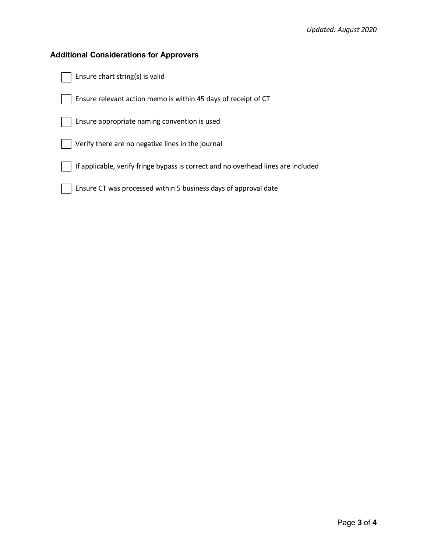### **Additional Considerations for Approvers**